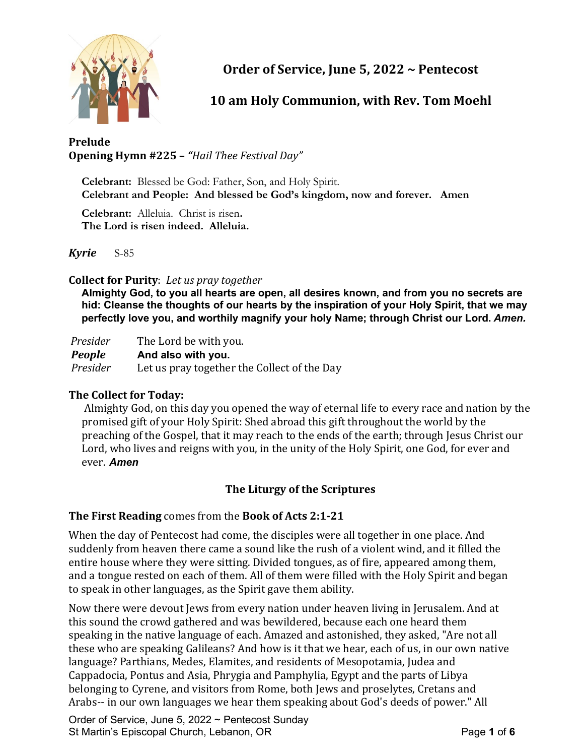

# **10 am Holy Communion, with Rev. Tom Moehl**

**Prelude Opening Hymn #225 –** *"Hail Thee Festival Day"* 

**Celebrant:** Blessed be God: Father, Son, and Holy Spirit. **Celebrant and People: And blessed be God's kingdom, now and forever. Amen**

**Celebrant:** Alleluia. Christ is risen**. The Lord is risen indeed. Alleluia.**

*Kyrie*S-85

#### **Collect for Purity**: *Let us pray together*

**Almighty God, to you all hearts are open, all desires known, and from you no secrets are hid: Cleanse the thoughts of our hearts by the inspiration of your Holy Spirit, that we may perfectly love you, and worthily magnify your holy Name; through Christ our Lord.** *Amen.*

*Presider* The Lord be with you. *People* **And also with you.** *Presider* Let us pray together the Collect of the Day

### **The Collect for Today:**

Almighty God, on this day you opened the way of eternal life to every race and nation by the promised gift of your Holy Spirit: Shed abroad this gift throughout the world by the preaching of the Gospel, that it may reach to the ends of the earth; through Jesus Christ our Lord, who lives and reigns with you, in the unity of the Holy Spirit, one God, for ever and ever. *Amen* 

# **The Liturgy of the Scriptures**

### **The First Reading** comes from the **Book of Acts 2:1-21**

When the day of Pentecost had come, the disciples were all together in one place. And suddenly from heaven there came a sound like the rush of a violent wind, and it filled the entire house where they were sitting. Divided tongues, as of fire, appeared among them, and a tongue rested on each of them. All of them were filled with the Holy Spirit and began to speak in other languages, as the Spirit gave them ability.

Now there were devout Jews from every nation under heaven living in Jerusalem. And at this sound the crowd gathered and was bewildered, because each one heard them speaking in the native language of each. Amazed and astonished, they asked, "Are not all these who are speaking Galileans? And how is it that we hear, each of us, in our own native language? Parthians, Medes, Elamites, and residents of Mesopotamia, Judea and Cappadocia, Pontus and Asia, Phrygia and Pamphylia, Egypt and the parts of Libya belonging to Cyrene, and visitors from Rome, both Jews and proselytes, Cretans and Arabs-- in our own languages we hear them speaking about God's deeds of power." All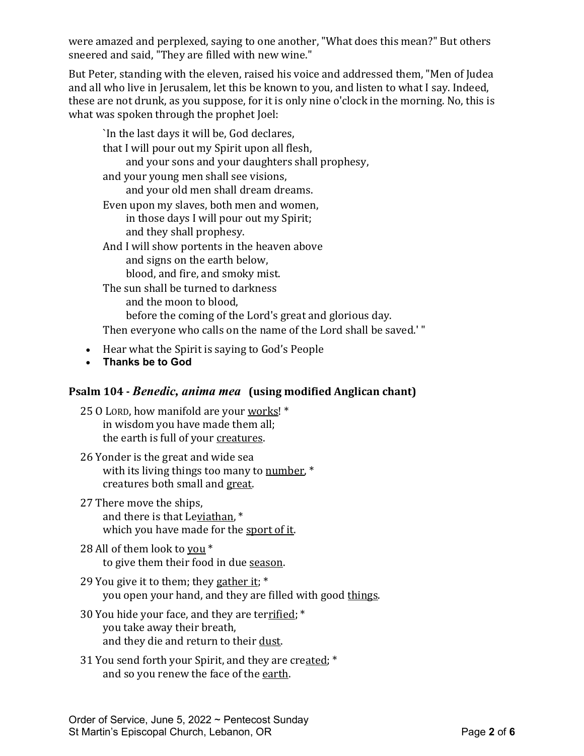were amazed and perplexed, saying to one another, "What does this mean?" But others sneered and said, "They are filled with new wine."

But Peter, standing with the eleven, raised his voice and addressed them, "Men of Judea and all who live in Jerusalem, let this be known to you, and listen to what I say. Indeed, these are not drunk, as you suppose, for it is only nine o'clock in the morning. No, this is what was spoken through the prophet Joel:

| In the last days it will be, God declares,                                    |
|-------------------------------------------------------------------------------|
| that I will pour out my Spirit upon all flesh,                                |
| and your sons and your daughters shall prophesy,                              |
| and your young men shall see visions,<br>and your old men shall dream dreams. |
| Even upon my slaves, both men and women,                                      |
| in those days I will pour out my Spirit;                                      |
| and they shall prophesy.                                                      |
| And I will show portents in the heaven above                                  |
| and signs on the earth below,                                                 |
| blood, and fire, and smoky mist.                                              |
| The sun shall be turned to darkness                                           |
| and the moon to blood,                                                        |
| before the coming of the Lord's great and glorious day.                       |
|                                                                               |

Then everyone who calls on the name of the Lord shall be saved.' "

- Hear what the Spirit is saying to God's People
- **Thanks be to God**

#### **Psalm 104 -** *Benedic, anima mea* **(using modified Anglican chant)**

- 25 O LORD, how manifold are your works! \* in wisdom you have made them all; the earth is full of your creatures.
- 26 Yonder is the great and wide sea with its living things too many to number, \* creatures both small and great.
- 27 There move the ships, and there is that Leviathan, \* which you have made for the sport of it.
- 28 All of them look to you \* to give them their food in due season.
- 29 You give it to them; they gather it; \* you open your hand, and they are filled with good things.
- 30 You hide your face, and they are terrified; \* you take away their breath, and they die and return to their dust.
- 31 You send forth your Spirit, and they are created; \* and so you renew the face of the earth.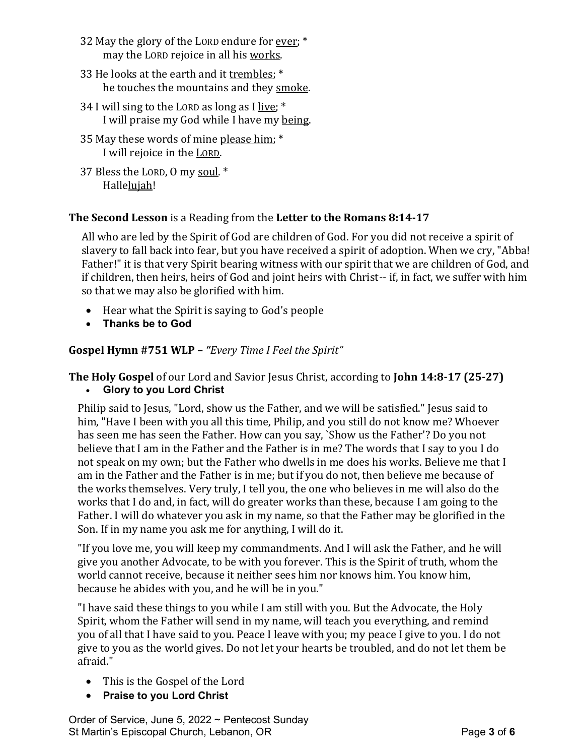- 32 May the glory of the LORD endure for ever; \* may the LORD rejoice in all his works.
- 33 He looks at the earth and it trembles; \* he touches the mountains and they smoke.
- 34 I will sing to the LORD as long as I live; \* I will praise my God while I have my being.
- 35 May these words of mine please him; \* I will rejoice in the LORD.
- 37 Bless the LORD, O my soul. \* Hallelujah!

## **The Second Lesson** is a Reading from the **Letter to the Romans 8:14-17**

All who are led by the Spirit of God are children of God. For you did not receive a spirit of slavery to fall back into fear, but you have received a spirit of adoption. When we cry, "Abba! Father!" it is that very Spirit bearing witness with our spirit that we are children of God, and if children, then heirs, heirs of God and joint heirs with Christ-- if, in fact, we suffer with him so that we may also be glorified with him.

- Hear what the Spirit is saying to God's people
- **Thanks be to God**

# **Gospel Hymn #751 WLP –** *"Every Time I Feel the Spirit"*

**The Holy Gospel** of our Lord and Savior Jesus Christ, according to **John 14:8-17 (25-27)** • **Glory to you Lord Christ**

Philip said to Jesus, "Lord, show us the Father, and we will be satisfied." Jesus said to him, "Have I been with you all this time, Philip, and you still do not know me? Whoever has seen me has seen the Father. How can you say, `Show us the Father'? Do you not believe that I am in the Father and the Father is in me? The words that I say to you I do not speak on my own; but the Father who dwells in me does his works. Believe me that I am in the Father and the Father is in me; but if you do not, then believe me because of the works themselves. Very truly, I tell you, the one who believes in me will also do the works that I do and, in fact, will do greater works than these, because I am going to the Father. I will do whatever you ask in my name, so that the Father may be glorified in the Son. If in my name you ask me for anything, I will do it.

"If you love me, you will keep my commandments. And I will ask the Father, and he will give you another Advocate, to be with you forever. This is the Spirit of truth, whom the world cannot receive, because it neither sees him nor knows him. You know him, because he abides with you, and he will be in you."

"I have said these things to you while I am still with you. But the Advocate, the Holy Spirit, whom the Father will send in my name, will teach you everything, and remind you of all that I have said to you. Peace I leave with you; my peace I give to you. I do not give to you as the world gives. Do not let your hearts be troubled, and do not let them be afraid."

- This is the Gospel of the Lord
- **Praise to you Lord Christ**

Order of Service, June 5, 2022 ~ Pentecost Sunday St Martin's Episcopal Church, Lebanon, OR **Page 3** of 6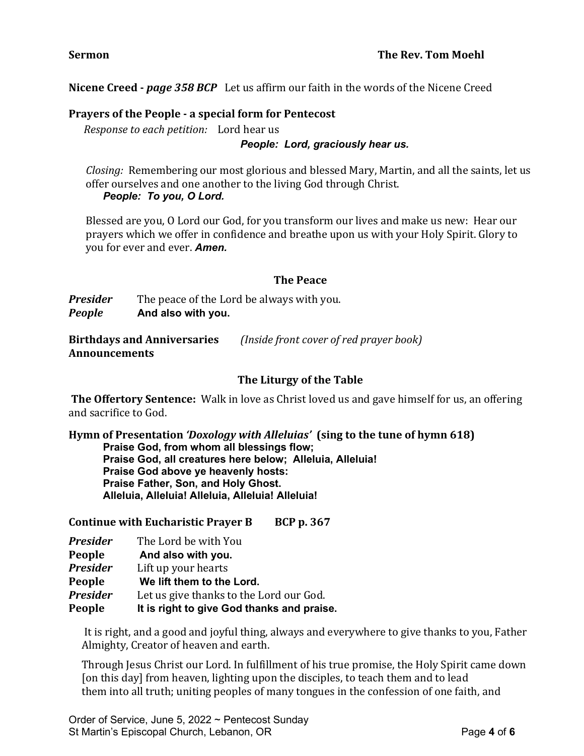**Nicene Creed -** *page 358 BCP* Let us affirm our faith in the words of the Nicene Creed

#### **Prayers of the People - a special form for Pentecost**

*Response to each petition:* Lord hear us

#### *People: Lord, graciously hear us.*

*Closing:* Remembering our most glorious and blessed Mary, Martin, and all the saints, let us offer ourselves and one another to the living God through Christ. *People: To you, O Lord.*

Blessed are you, O Lord our God, for you transform our lives and make us new: Hear our prayers which we offer in confidence and breathe upon us with your Holy Spirit. Glory to you for ever and ever. *Amen.*

#### **The Peace**

*Presider* The peace of the Lord be always with you. *People* **And also with you.**

#### **Birthdays and Anniversaries** *(Inside front cover of red prayer book)* **Announcements**

### **The Liturgy of the Table**

**The Offertory Sentence:** Walk in love as Christ loved us and gave himself for us, an offering and sacrifice to God.

**Hymn of Presentation** *'Doxology with Alleluias'* **(sing to the tune of hymn 618) Praise God, from whom all blessings flow; Praise God, all creatures here below; Alleluia, Alleluia! Praise God above ye heavenly hosts: Praise Father, Son, and Holy Ghost. Alleluia, Alleluia! Alleluia, Alleluia! Alleluia!**

**Continue with Eucharistic Prayer B BCP p. 367** 

| <b>Presider</b> | The Lord be with You                       |
|-----------------|--------------------------------------------|
| People          | And also with you.                         |
| <b>Presider</b> | Lift up your hearts                        |
| People          | We lift them to the Lord.                  |
| <b>Presider</b> | Let us give thanks to the Lord our God.    |
| People          | It is right to give God thanks and praise. |

It is right, and a good and joyful thing, always and everywhere to give thanks to you, Father Almighty, Creator of heaven and earth.

Through Jesus Christ our Lord. In fulfillment of his true promise, the Holy Spirit came down [on this day] from heaven, lighting upon the disciples, to teach them and to lead them into all truth; uniting peoples of many tongues in the confession of one faith, and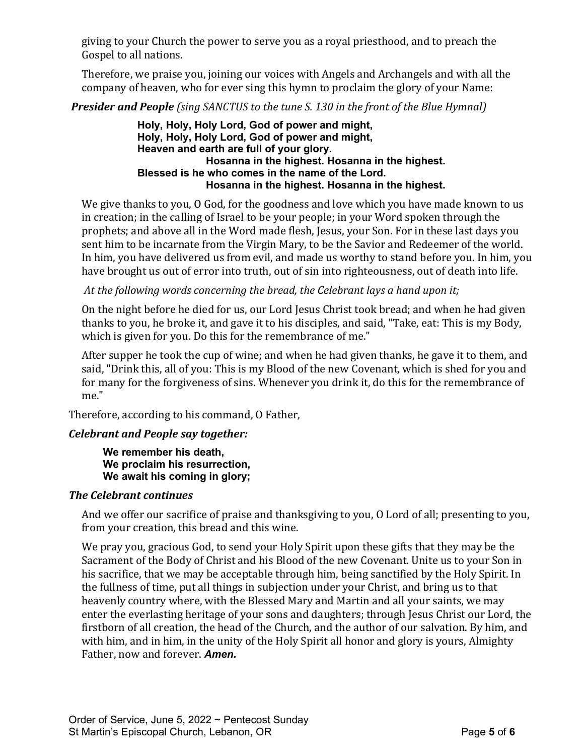giving to your Church the power to serve you as a royal priesthood, and to preach the Gospel to all nations.

Therefore, we praise you, joining our voices with Angels and Archangels and with all the company of heaven, who for ever sing this hymn to proclaim the glory of your Name:

*Presider and People (sing SANCTUS to the tune S. 130 in the front of the Blue Hymnal)*

**Holy, Holy, Holy Lord, God of power and might, Holy, Holy, Holy Lord, God of power and might, Heaven and earth are full of your glory. Hosanna in the highest. Hosanna in the highest. Blessed is he who comes in the name of the Lord. Hosanna in the highest. Hosanna in the highest.**

We give thanks to you, O God, for the goodness and love which you have made known to us in creation; in the calling of Israel to be your people; in your Word spoken through the prophets; and above all in the Word made flesh, Jesus, your Son. For in these last days you sent him to be incarnate from the Virgin Mary, to be the Savior and Redeemer of the world. In him, you have delivered us from evil, and made us worthy to stand before you. In him, you have brought us out of error into truth, out of sin into righteousness, out of death into life.

#### *At the following words concerning the bread, the Celebrant lays a hand upon it;*

On the night before he died for us, our Lord Jesus Christ took bread; and when he had given thanks to you, he broke it, and gave it to his disciples, and said, "Take, eat: This is my Body, which is given for you. Do this for the remembrance of me."

After supper he took the cup of wine; and when he had given thanks, he gave it to them, and said, "Drink this, all of you: This is my Blood of the new Covenant, which is shed for you and for many for the forgiveness of sins. Whenever you drink it, do this for the remembrance of me."

Therefore, according to his command, O Father,

### *Celebrant and People say together:*

**We remember his death, We proclaim his resurrection, We await his coming in glory;**

#### *The Celebrant continues*

And we offer our sacrifice of praise and thanksgiving to you, O Lord of all; presenting to you, from your creation, this bread and this wine.

We pray you, gracious God, to send your Holy Spirit upon these gifts that they may be the Sacrament of the Body of Christ and his Blood of the new Covenant. Unite us to your Son in his sacrifice, that we may be acceptable through him, being sanctified by the Holy Spirit. In the fullness of time, put all things in subjection under your Christ, and bring us to that heavenly country where, with the Blessed Mary and Martin and all your saints, we may enter the everlasting heritage of your sons and daughters; through Jesus Christ our Lord, the firstborn of all creation, the head of the Church, and the author of our salvation. By him, and with him, and in him, in the unity of the Holy Spirit all honor and glory is yours, Almighty Father, now and forever. *Amen.*